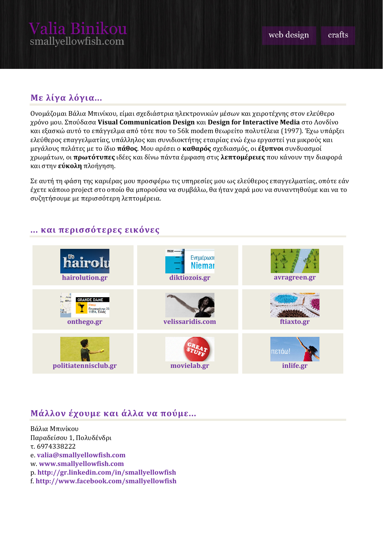## **Με λίγα λόγια...**

Ονομάζομαι Βάλια Μπινίκου, είμαι σχεδιάστρια ηλεκτρονικών μέσων και χειροτέχνης στον ελεύθερο χρόνο μου. Σπούδασα **Visual Communication Design** και **Design for Interactive Media** στο Λονδίνο και εξασκώ αυτό το επάγγελμα από τότε που το 56k modem θεωρείτο πολυτέλεια (1997). Έχω υπάρξει ελεύθερος επαγγελματίας, υπάλληλος και συνιδιοκτήτης εταιρίας ενώ έχω εργαστεί για μικρούς και μεγάλους πελάτες με το ίδιο **πάθος**. Μου αρέσει ο **καθαρός** σχεδιασμός, οι **έξυπνοι** συνδυασμοί χρωμάτων, οι **πρωτότυπες** ιδέες και δίνω πάντα έμφαση στις **λεπτομέρειες** που κάνουν την διαφορά και στην **εύκολη** πλοήγηση.

Σε αυτή τη φάση της καριέρας μου προσφέρω τις υπηρεσίες μου ως ελεύθερος επαγγελματίας, οπότε εάν έχετε κάποιο project στο οποίο θα μπορούσα να συμβάλω, θα ήταν χαρά μου να συναντηθούμε και να το συζητήσουμε με περισσότερη λεπτομέρεια.



### **... και περισσότερες εικόνες**

# **Μάλλον έχουμε και άλλα να πούμε...**

Βάλια Μπινίκου Παραδείσου 1, Πολυδένδρι τ. 6974338222 e. **[valia@smallyellowfish.com](mailto:valia@smallyellowfish.com)** w. **[www.smallyellowfish.com](http://www.smallyellowfish.com/)** p. **<http://gr.linkedin.com/in/smallyellowfish>** f. **<http://www.facebook.com/smallyellowfish>**